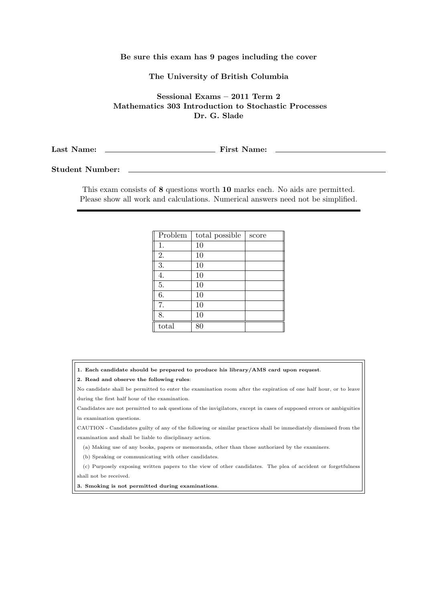## Be sure this exam has 9 pages including the cover

## The University of British Columbia

Sessional Exams – 2011 Term 2 Mathematics 303 Introduction to Stochastic Processes Dr. G. Slade

Last Name: First Name:

Student Number:

This exam consists of 8 questions worth 10 marks each. No aids are permitted. Please show all work and calculations. Numerical answers need not be simplified.

| Problem | total possible | score |
|---------|----------------|-------|
| 1.      | 10             |       |
| 2.      | 10             |       |
| 3.      | 10             |       |
| 4.      | 10             |       |
| 5.      | 10             |       |
| 6.      | 10             |       |
| 7.      | 10             |       |
| 8.      | 10             |       |
| total   | 80             |       |

1. Each candidate should be prepared to produce his library/AMS card upon request.

2. Read and observe the following rules:

No candidate shall be permitted to enter the examination room after the expiration of one half hour, or to leave during the first half hour of the examination.

Candidates are not permitted to ask questions of the invigilators, except in cases of supposed errors or ambiguities in examination questions.

CAUTION - Candidates guilty of any of the following or similar practices shall be immediately dismissed from the examination and shall be liable to disciplinary action.

(a) Making use of any books, papers or memoranda, other than those authorized by the examiners.

(b) Speaking or communicating with other candidates.

(c) Purposely exposing written papers to the view of other candidates. The plea of accident or forgetfulness shall not be received.

3. Smoking is not permitted during examinations.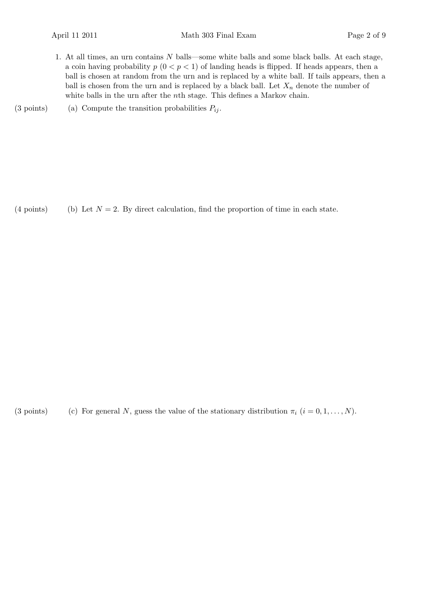1. At all times, an urn contains N balls—some white balls and some black balls. At each stage, a coin having probability  $p(0 < p < 1)$  of landing heads is flipped. If heads appears, then a ball is chosen at random from the urn and is replaced by a white ball. If tails appears, then a ball is chosen from the urn and is replaced by a black ball. Let  $X_n$  denote the number of white balls in the urn after the nth stage. This defines a Markov chain.

(3 points) (a) Compute the transition probabilities  $P_{ij}$ .

(4 points) (b) Let  $N = 2$ . By direct calculation, find the proportion of time in each state.

(3 points) (c) For general N, guess the value of the stationary distribution  $\pi_i$   $(i = 0, 1, \ldots, N)$ .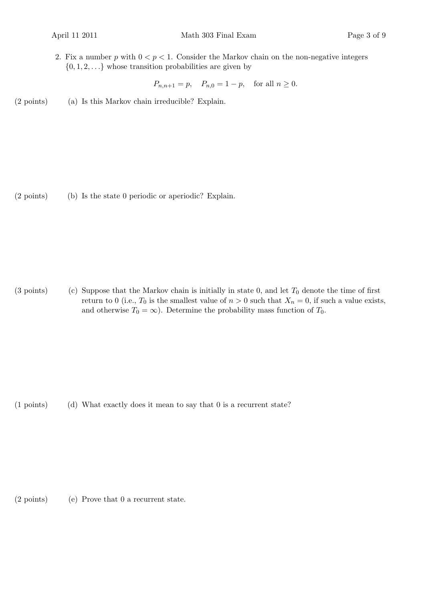2. Fix a number p with  $0 < p < 1$ . Consider the Markov chain on the non-negative integers  $\{0, 1, 2, \ldots\}$  whose transition probabilities are given by

 $P_{n,n+1} = p, \quad P_{n,0} = 1 - p, \quad \text{for all } n \ge 0.$ 

 $(2 \text{ points})$  (a) Is this Markov chain irreducible? Explain.

 $(2 \text{ points})$  (b) Is the state 0 periodic or aperiodic? Explain.

(3 points) (c) Suppose that the Markov chain is initially in state 0, and let  $T_0$  denote the time of first return to 0 (i.e.,  $T_0$  is the smallest value of  $n > 0$  such that  $X_n = 0$ , if such a value exists, and otherwise  $T_0 = \infty$ ). Determine the probability mass function of  $T_0$ .

(d)(1 points) What exactly does it mean to say that 0 is a recurrent state?

 $(2 \text{ points})$  (e) Prove that 0 a recurrent state.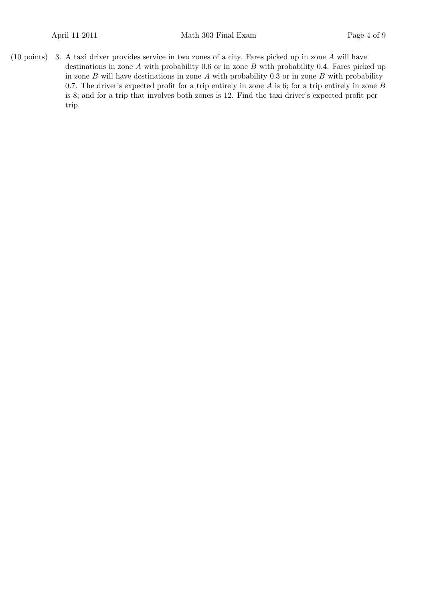(10 points) 3. A taxi driver provides service in two zones of a city. Fares picked up in zone  $A$  will have destinations in zone  $A$  with probability 0.6 or in zone  $B$  with probability 0.4. Fares picked up in zone  $B$  will have destinations in zone  $A$  with probability 0.3 or in zone  $B$  with probability 0.7. The driver's expected profit for a trip entirely in zone  $A$  is 6; for a trip entirely in zone  $B$ is 8; and for a trip that involves both zones is 12. Find the taxi driver's expected profit per trip.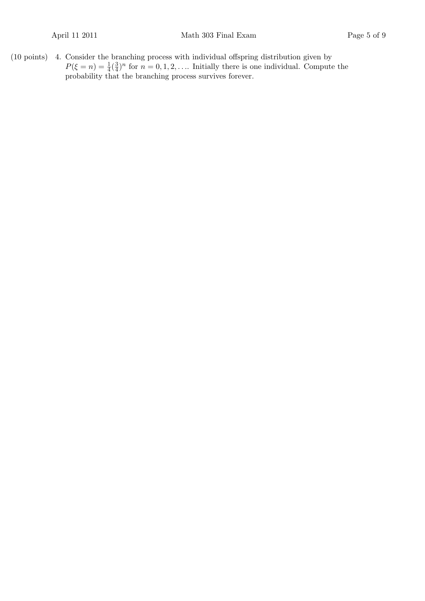$(10 \text{ points})$  4. Consider the branching process with individual offspring distribution given by  $P(\xi = n) = \frac{1}{4}(\frac{3}{4})$  $\frac{3}{4}$ <sup>n</sup> for  $n = 0, 1, 2, \ldots$  Initially there is one individual. Compute the probability that the branching process survives forever.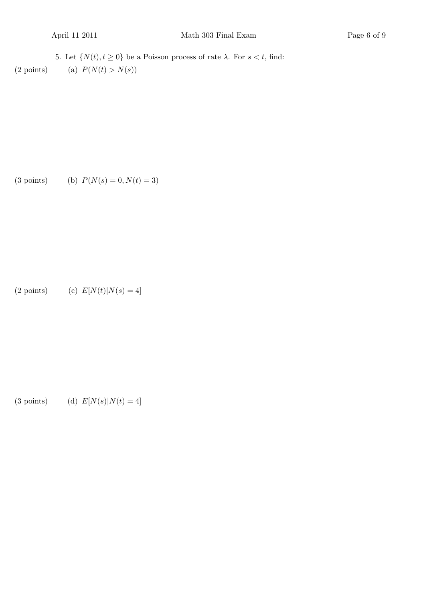5. Let  $\{N(t), t \ge 0\}$  be a Poisson process of rate  $\lambda$ . For  $s < t$ , find: (2 points) (a)  $P(N(t) > N(s))$ 

(3 points) (b) 
$$
P(N(s) = 0, N(t) = 3)
$$

(2 points) (c) 
$$
E[N(t)|N(s) = 4]
$$

(3 points) (d)  $E[N(s)|N(t) = 4]$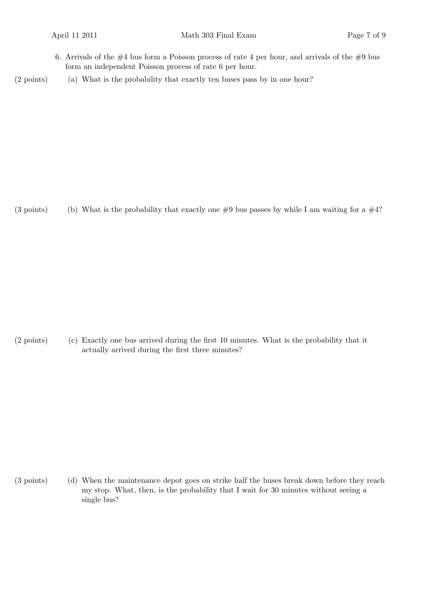- 6. Arrivals of the  $#4$  bus form a Poisson process of rate 4 per hour, and arrivals of the  $#9$  bus form an independent Poisson process of rate 6 per hour.
- (2 points) (a) What is the probability that exactly ten buses pass by in one hour?

(3 points) (b) What is the probability that exactly one  $#9$  bus passes by while I am waiting for a  $#4$ ?

(c)(2 points) Exactly one bus arrived during the first 10 minutes. What is the probability that it actually arrived during the first three minutes?

(d)(3 points) When the maintenance depot goes on strike half the buses break down before they reach my stop. What, then, is the probability that I wait for 30 minutes without seeing a single bus?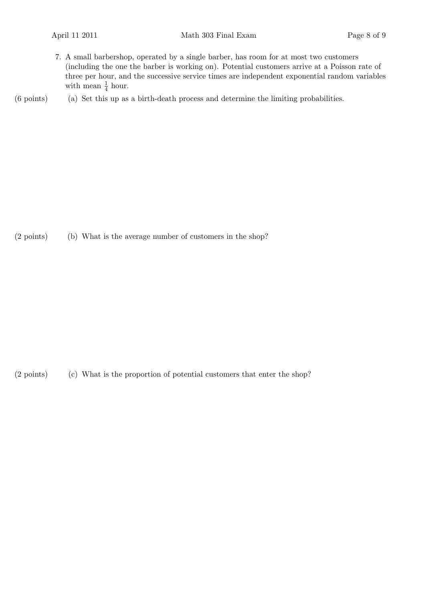7. A small barbershop, operated by a single barber, has room for at most two customers (including the one the barber is working on). Potential customers arrive at a Poisson rate of three per hour, and the successive service times are independent exponential random variables with mean  $\frac{1}{4}$  hour.

 $(6 \text{ points})$  (a) Set this up as a birth-death process and determine the limiting probabilities.

(2 points) (b) What is the average number of customers in the shop?

(2 points) (c) What is the proportion of potential customers that enter the shop?